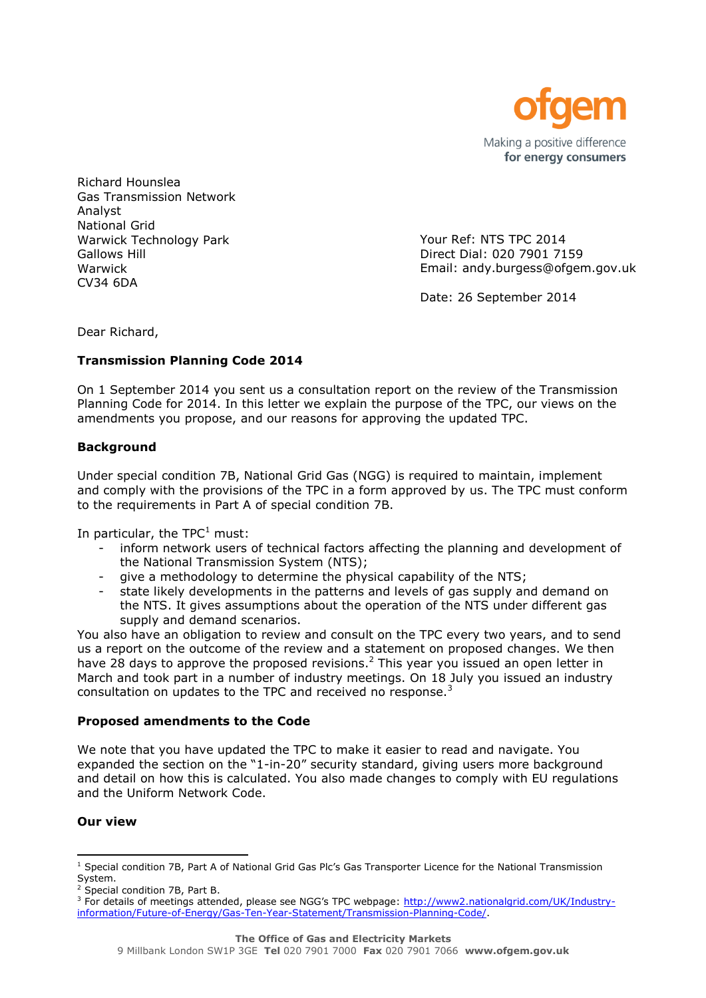

Richard Hounslea Gas Transmission Network Analyst National Grid Warwick Technology Park Gallows Hill Warwick CV34 6DA

Your Ref: NTS TPC 2014 Direct Dial: 020 7901 7159 Email: andy.burgess@ofgem.gov.uk

Date: 26 September 2014

Dear Richard,

# **Transmission Planning Code 2014**

On 1 September 2014 you sent us a consultation report on the review of the Transmission Planning Code for 2014. In this letter we explain the purpose of the TPC, our views on the amendments you propose, and our reasons for approving the updated TPC.

# **Background**

Under special condition 7B, National Grid Gas (NGG) is required to maintain, implement and comply with the provisions of the TPC in a form approved by us. The TPC must conform to the requirements in Part A of special condition 7B.

In particular, the  $TPC<sup>1</sup>$  must:

- inform network users of technical factors affecting the planning and development of the National Transmission System (NTS);
- give a methodology to determine the physical capability of the NTS;
- state likely developments in the patterns and levels of gas supply and demand on the NTS. It gives assumptions about the operation of the NTS under different gas supply and demand scenarios.

You also have an obligation to review and consult on the TPC every two years, and to send us a report on the outcome of the review and a statement on proposed changes. We then have 28 days to approve the proposed revisions.<sup>2</sup> This year you issued an open letter in March and took part in a number of industry meetings. On 18 July you issued an industry consultation on updates to the TPC and received no response.<sup>3</sup>

# **Proposed amendments to the Code**

We note that you have updated the TPC to make it easier to read and navigate. You expanded the section on the "1-in-20" security standard, giving users more background and detail on how this is calculated. You also made changes to comply with EU regulations and the Uniform Network Code.

# **Our view**

 <sup>1</sup> Special condition 7B, Part A of National Grid Gas Plc's Gas Transporter Licence for the National Transmission System.

 $2$  Special condition 7B, Part B.

<sup>&</sup>lt;sup>3</sup> For details of meetings attended, please see NGG's TPC webpage: [http://www2.nationalgrid.com/UK/Industry](http://www2.nationalgrid.com/UK/Industry-information/Future-of-Energy/Gas-Ten-Year-Statement/Transmission-Planning-Code/)[information/Future-of-Energy/Gas-Ten-Year-Statement/Transmission-Planning-Code/.](http://www2.nationalgrid.com/UK/Industry-information/Future-of-Energy/Gas-Ten-Year-Statement/Transmission-Planning-Code/)